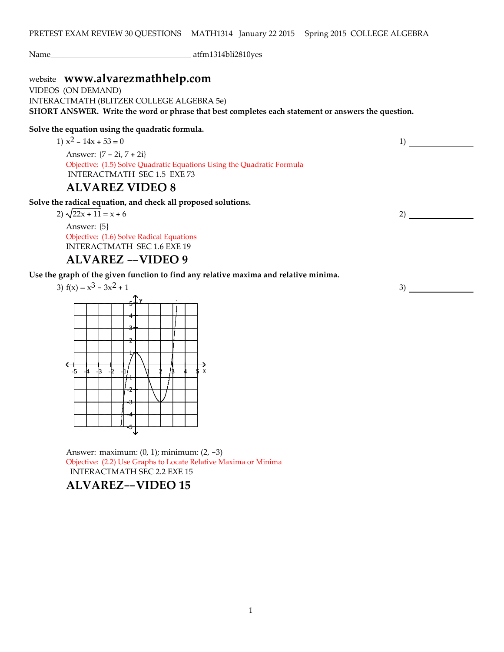Name\_\_\_\_\_\_\_\_\_\_\_\_\_\_\_\_\_\_\_\_\_\_\_\_\_\_\_\_\_\_\_\_\_\_\_ atfm1314bli2810yes

# website **www.alvarezmathhelp.com**

VIDEOS (ON DEMAND) INTERACTMATH (BLITZER COLLEGE ALGEBRA 5e) **SHORT ANSWER. Write the word or phrase that best completes each statement or answers the question.**

**Solve the equation using the quadratic formula.**

1)  $x^2 - 14x + 53 = 0$  1) Answer: {7 - 2i, 7 + 2i} Objective: (1.5) Solve Quadratic Equations Using the Quadratic Formula INTERACTMATH SEC 1.5 EXE 73

# **ALVAREZ VIDEO 8**

**Solve the radical equation, and check all proposed solutions.**

2)  $\sqrt{22x + 11} = x + 6$  2) Answer: {5} Objective: (1.6) Solve Radical Equations INTERACTMATH SEC 1.6 EXE 19

# **ALVAREZ --VIDEO 9**

**Use the graph of the given function to find any relative maxima and relative minima.**



Answer: maximum: (0, 1); minimum: (2, -3) Objective: (2.2) Use Graphs to Locate Relative Maxima or Minima INTERACTMATH SEC 2.2 EXE 15

# **ALVAREZ--VIDEO 15**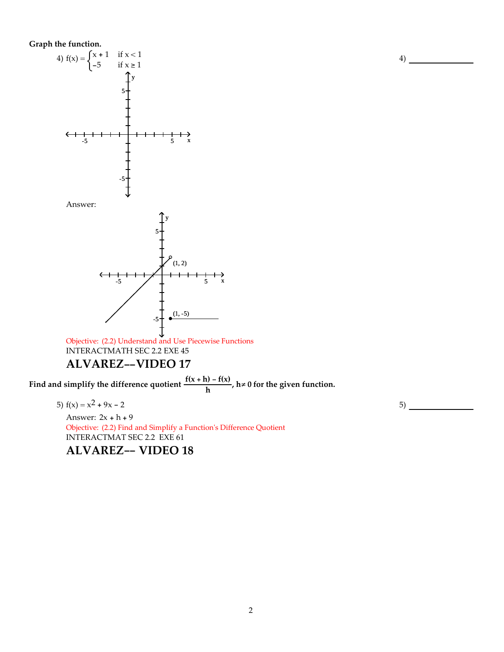



Objective: (2.2) Understand and Use Piecewise Functions INTERACTMATH SEC 2.2 EXE 45

# **ALVAREZ--VIDEO 17**

Find and simplify the difference quotient  $\frac{f(x+h) - f(x)}{h}$ ,  $h \ne 0$  for the given function.

5) 
$$
f(x) = x^2 + 9x - 2
$$

Answer: 2x + h + 9 Objective: (2.2) Find and Simplify a Functionʹs Difference Quotient INTERACTMAT SEC 2.2 EXE 61

**ALVAREZ-- VIDEO 18**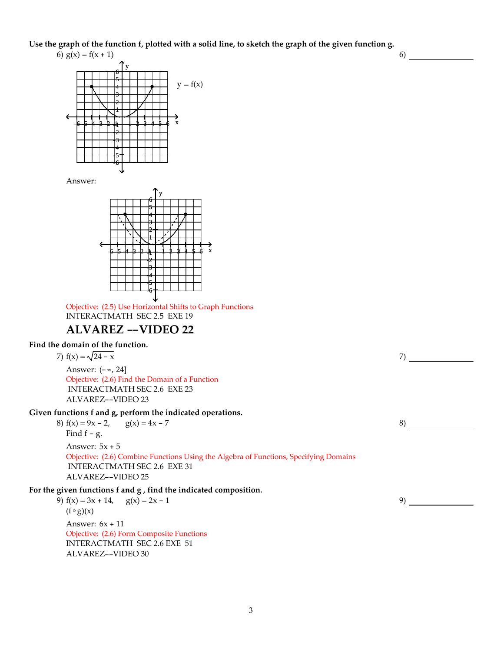### Use the graph of the function f, plotted with a solid line, to sketch the graph of the given function g.



Answer:



Objective: (2.5) Use Horizontal Shifts to Graph Functions INTERACTMATH SEC 2.5 EXE 19

# **ALVAREZ --VIDEO 22**

## **Find the domain of the function.**

Answer: (-∞, 24] Objective: (2.6) Find the Domain of a Function INTERACTMATH SEC 2.6 EXE 23 ALVAREZ--VIDEO 23

### **Given functions f and g, perform the indicated operations.**

8)  $f(x) = 9x - 2$ ,  $g(x) = 4x - 7$ Find  $f - g$ . Answer: 5x + 5

Objective: (2.6) Combine Functions Using the Algebra of Functions, Specifying Domains INTERACTMATH SEC 2.6 EXE 31 ALVAREZ--VIDEO 25

### **For the given functions f and g , find the indicated composition.**

9)  $f(x) = 3x + 14$ ,  $g(x) = 2x - 1$ (f∘g)(x) Answer: 6x + 11 Objective: (2.6) Form Composite Functions INTERACTMATH SEC 2.6 EXE 51 ALVAREZ--VIDEO 30

7)  $f(x) = \sqrt{24 - x}$  7)

 $\left(6\right)$ 

8)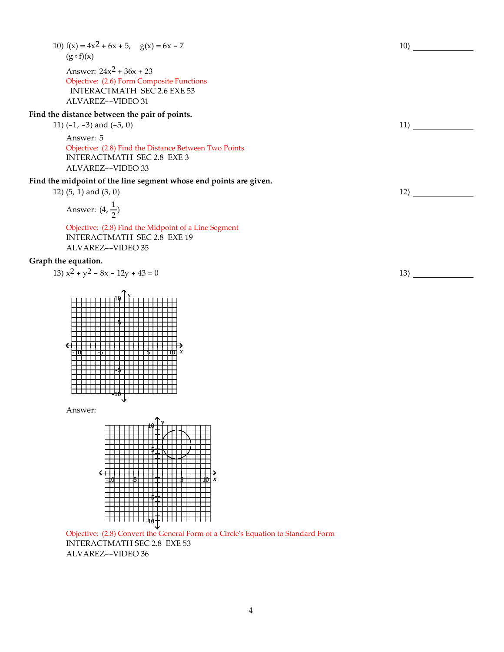10)  $f(x) = 4x^2 + 6x + 5$ ,  $g(x) = 6x - 7$ (g∘f)(x)

Answer:  $24x^2 + 36x + 23$ Objective: (2.6) Form Composite Functions INTERACTMATH SEC 2.6 EXE 53 ALVAREZ--VIDEO 31

### **Find the distance between the pair of points.**

11)  $(-1, -3)$  and  $(-5, 0)$  11)

Answer: 5 Objective: (2.8) Find the Distance Between Two Points INTERACTMATH SEC 2.8 EXE 3 ALVAREZ--VIDEO 33

**Find the midpoint of the line segment whose end points are given.**

Answer:  $(4, \frac{1}{2})$ 

Objective: (2.8) Find the Midpoint of a Line Segment INTERACTMATH SEC 2.8 EXE 19 ALVAREZ--VIDEO 35

### **Graph the equation.**

$$
13) x2 + y2 - 8x - 12y + 43 = 0
$$



Answer:



Objective: (2.8) Convert the General Form of a Circleʹs Equation to Standard Form INTERACTMATH SEC 2.8 EXE 53 ALVAREZ--VIDEO 36

10)

12) (5, 1) and (3, 0) 12)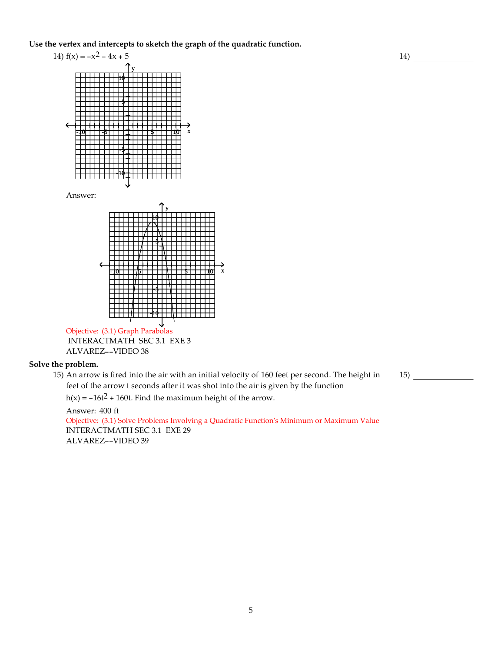**Use the vertex and intercepts to sketch the graph of the quadratic function.**



Answer:



Objective: (3.1) Graph Parabolas INTERACTMATH SEC 3.1 EXE 3 ALVAREZ--VIDEO 38

#### **Solve the problem.**

15) An arrow is fired into the air with an initial velocity of 160 feet per second. The height in feet of the arrow t seconds after it was shot into the air is given by the function

 $h(x) = -16t^2 + 160t$ . Find the maximum height of the arrow.

Answer: 400 ft Objective: (3.1) Solve Problems Involving a Quadratic Functionʹs Minimum or Maximum Value INTERACTMATH SEC 3.1 EXE 29 ALVAREZ--VIDEO 39

15)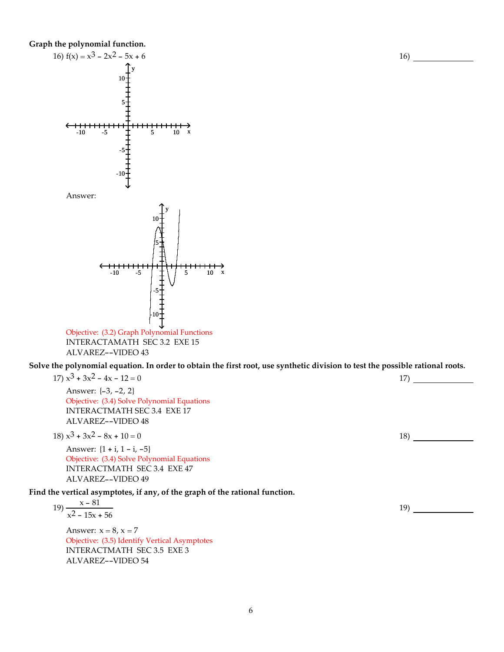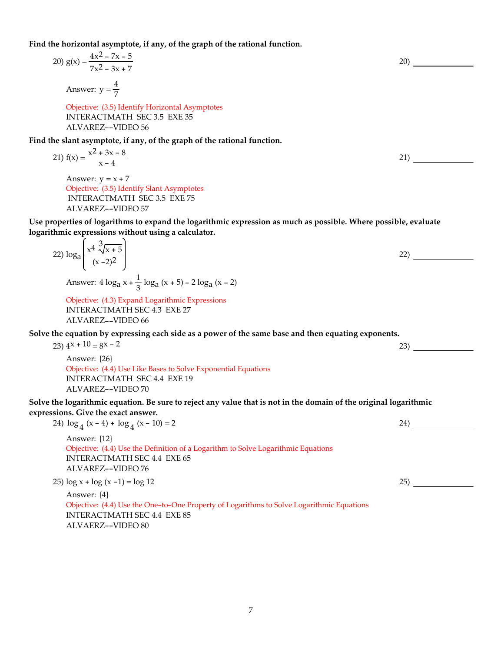Find the horizontal asymptote, if any, of the graph of the rational function.  
\n20) 
$$
g(x) = \frac{4x^2 - 7x - 5}{x^2 - 3x + 7}
$$
  
\nAnswer:  $y = \frac{4}{7}$   
\nObjective (3.5) Identify Horizontal Asymptotes  
\nINTEKACHMATH SEC3.5 EXE 35  
\nATVAREZ–-VIDEO 56  
\nFind the slant asymptote, if any, of the graph of the rational function.  
\n21)  $f(x) = \frac{x^2 + 3x - 8}{x - 4}$   
\nAnswer:  $y = x + 7$   
\nObjective (3.5) Identify Sant Asymptotes  
\nINTEKACTMATH SEC3.5 EXE 75  
\nALVAREZ–-VIDEO 57  
\nUse properties of logarithmic expression as much as possible. Where possible, evaluate  
\nlogarithmic expressions without using a calculator.  
\n22)  $log_a \left( \frac{x^4 \frac{3}{\sqrt{x + 5}}}{(x - 2)^2} \right)$   
\nAnswer: 4 log<sub>a</sub> x +  $\frac{1}{3}$  log<sub>a</sub> (x + 5) – 2 log<sub>a</sub> (x – 2)  
\nObjective: (4.3) Expand Logarithmic Expressions  
\nINTEKACHMATB SEC 43 EXE 27  
\nAI.VAREZ–-VIDEO 66  
\nSolve the equation by expressing each side as a power of the same base and then equating exponents.  
\n23)  $4x + 10 = 8x - 2$   
\nObjective: (4.4) Use Like Bases to Solve Exponential Equations  
\nNTEKACHMATB SCA + EXE 19  
\nAUVAREZ–-VIDEO 70  
\nSolve the logarithmic equation. Be sure to reject any value that is not in the domain of the original logarithmic  
\nexpressions. Give the exact answer: 26,  
\n23) log<sub>4</sub> (x - 4) + log<sub>4</sub> (x – 10) = 2  
\nAnswer: 12)  
\n24) \_\_\_\_\_\_\_\_  
\nAnswer: 12)  
\n25) \_\_\_\_\_\_\_\_  
\nAnswer: 14)  
\nObserve the logarithmic equation. Be sure to reject any value that is not in the domain of the original logarithmic  
\nexpression. Give the exact answer: 14)  
\nObserve: (24) Use the De-0-0ne Property of Logarithmic Equations  
\nINTEKACHMATH SEC 44 EXE 65  
\nALVAREZ–VIDEO 76  
\n2

ALVAERZ--VIDEO 80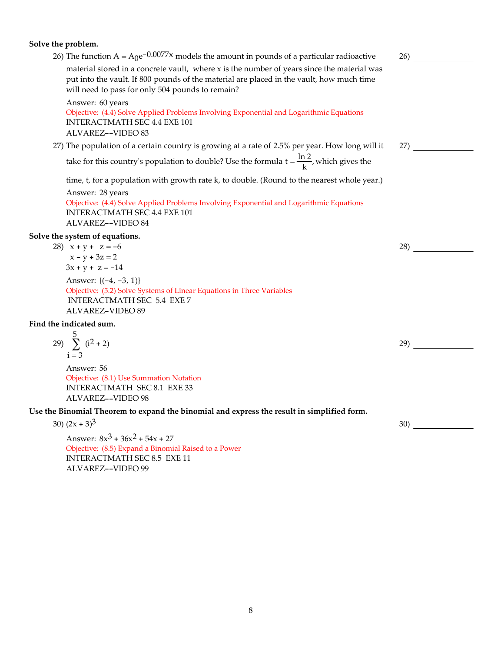#### **Solve the problem.**

26) The function A = A<sub>0</sub>e<sup>-0.0077x</sup> models the amount in pounds of a particular radioactive material stored in a concrete vault, where  $x$  is the number of years since the material was put into the vault. If 800 pounds of the material are placed in the vault, how much time will need to pass for only 504 pounds to remain?

Answer: 60 years Objective: (4.4) Solve Applied Problems Involving Exponential and Logarithmic Equations INTERACTMATH SEC 4.4 EXE 101 ALVAREZ--VIDEO 83

27) The population of a certain country is growing at a rate of 2.5% per year. How long will it

take for this country's population to double? Use the formula  $t = \frac{\ln 2}{k}$ , which gives the

time, t, for a population with growth rate k, to double. (Round to the nearest whole year.)

Answer: 28 years Objective: (4.4) Solve Applied Problems Involving Exponential and Logarithmic Equations INTERACTMATH SEC 4.4 EXE 101 ALVAREZ--VIDEO 84

#### **Solve the system of equations.**

28)  $x + y + z = -6$  $x - y + 3z = 2$  $3x + y + z = -14$ Answer: {(-4, -3, 1)} Objective: (5.2) Solve Systems of Linear Equations in Three Variables INTERACTMATH SEC 5.4 EXE 7 ALVAREZ-VIDEO 89

### **Find the indicated sum.**

$$
29) \sum_{i=3}^{5} (i^2 + 2) \tag{29}
$$

Answer: 56 Objective: (8.1) Use Summation Notation INTERACTMATH SEC 8.1 EXE 33 ALVAREZ--VIDEO 98

**Use the Binomial Theorem to expand the binomial and express the result in simplified form.**

Answer:  $8x^3 + 36x^2 + 54x + 27$ Objective: (8.5) Expand a Binomial Raised to a Power INTERACTMATH SEC 8.5 EXE 11 ALVAREZ--VIDEO 99

26)

27)

28)

 $30)$   $(2x + 3)^3$   $(3)$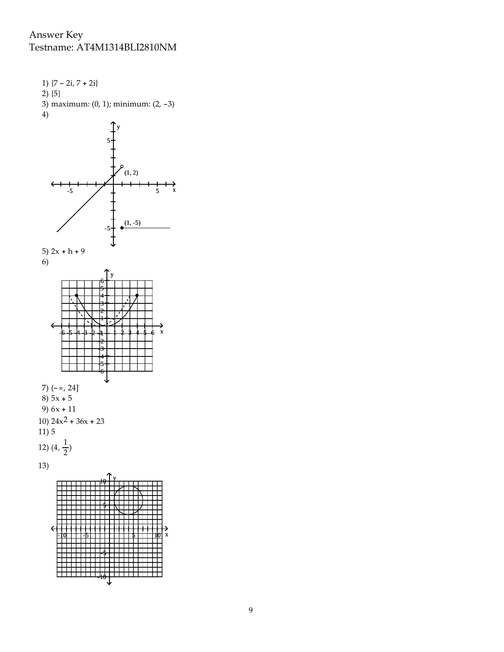# Answer Key Testname: AT4M1314BLI2810NM

1) {7 - 2i, 7 + 2i} 2) {5} 3) maximum: (0, 1); minimum: (2, -3) 4)